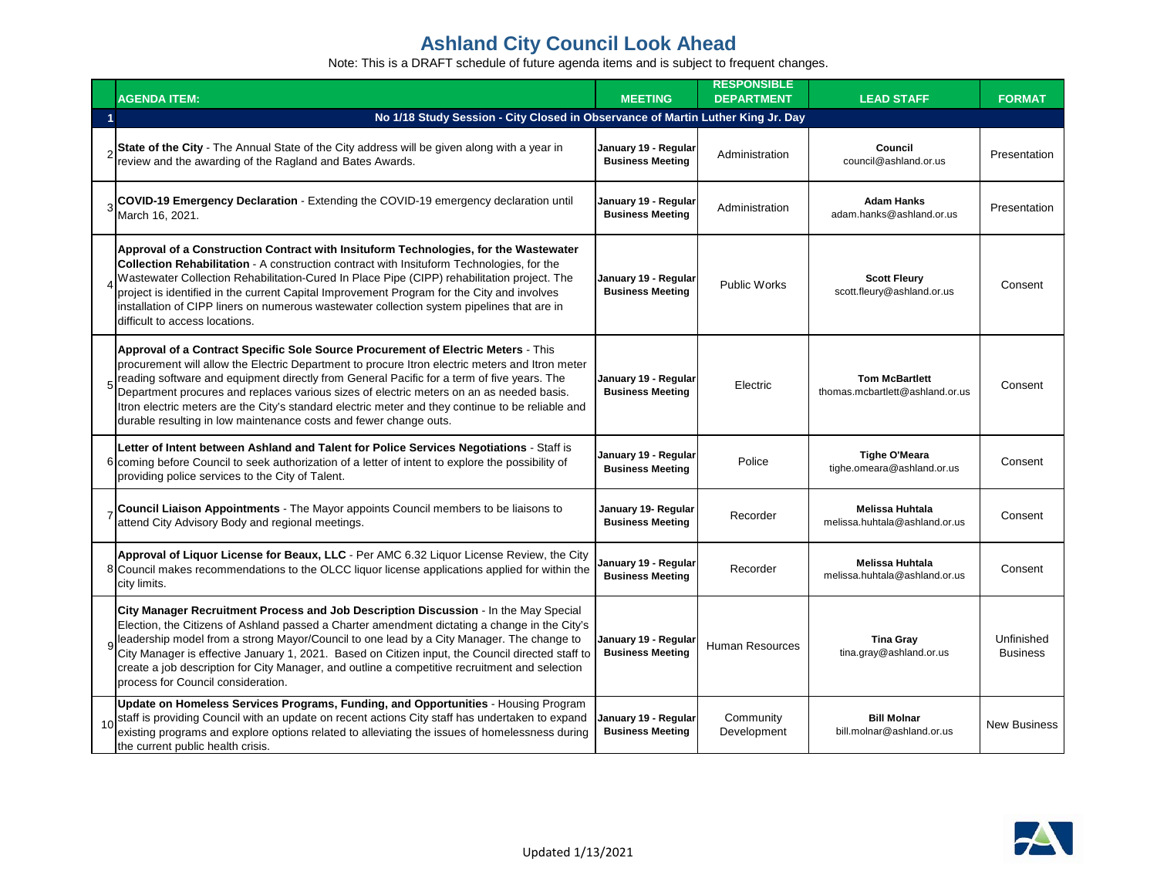|    | <b>AGENDA ITEM:</b>                                                                                                                                                                                                                                                                                                                                                                                                                                                                                                                                                 | <b>MEETING</b>                                  | <b>RESPONSIBLE</b><br><b>DEPARTMENT</b> | <b>LEAD STAFF</b>                                        | <b>FORMAT</b>                 |
|----|---------------------------------------------------------------------------------------------------------------------------------------------------------------------------------------------------------------------------------------------------------------------------------------------------------------------------------------------------------------------------------------------------------------------------------------------------------------------------------------------------------------------------------------------------------------------|-------------------------------------------------|-----------------------------------------|----------------------------------------------------------|-------------------------------|
|    | No 1/18 Study Session - City Closed in Observance of Martin Luther King Jr. Day                                                                                                                                                                                                                                                                                                                                                                                                                                                                                     |                                                 |                                         |                                                          |                               |
|    | $\sigma$ State of the City - The Annual State of the City address will be given along with a year in<br>review and the awarding of the Ragland and Bates Awards.                                                                                                                                                                                                                                                                                                                                                                                                    | January 19 - Regular<br><b>Business Meeting</b> | Administration                          | <b>Council</b><br>council@ashland.or.us                  | Presentation                  |
|    | 3 COVID-19 Emergency Declaration - Extending the COVID-19 emergency declaration until<br>March 16, 2021.                                                                                                                                                                                                                                                                                                                                                                                                                                                            | January 19 - Regular<br><b>Business Meeting</b> | Administration                          | <b>Adam Hanks</b><br>adam.hanks@ashland.or.us            | Presentation                  |
|    | Approval of a Construction Contract with Insituform Technologies, for the Wastewater<br><b>Collection Rehabilitation</b> - A construction contract with Insituform Technologies, for the<br>Wastewater Collection Rehabilitation-Cured In Place Pipe (CIPP) rehabilitation project. The<br>project is identified in the current Capital Improvement Program for the City and involves<br>installation of CIPP liners on numerous wastewater collection system pipelines that are in<br>difficult to access locations.                                               | January 19 - Regular<br><b>Business Meeting</b> | <b>Public Works</b>                     | <b>Scott Fleury</b><br>scott.fleury@ashland.or.us        | Consent                       |
|    | Approval of a Contract Specific Sole Source Procurement of Electric Meters - This<br>procurement will allow the Electric Department to procure Itron electric meters and Itron meter<br>$\epsilon$ reading software and equipment directly from General Pacific for a term of five years. The<br>Department procures and replaces various sizes of electric meters on an as needed basis.<br>Itron electric meters are the City's standard electric meter and they continue to be reliable and<br>durable resulting in low maintenance costs and fewer change outs. | January 19 - Regular<br><b>Business Meeting</b> | Electric                                | <b>Tom McBartlett</b><br>thomas.mcbartlett@ashland.or.us | Consent                       |
|    | Letter of Intent between Ashland and Talent for Police Services Negotiations - Staff is<br>6 coming before Council to seek authorization of a letter of intent to explore the possibility of<br>providing police services to the City of Talent.                                                                                                                                                                                                                                                                                                                    | January 19 - Regular<br><b>Business Meeting</b> | Police                                  | <b>Tighe O'Meara</b><br>tighe.omeara@ashland.or.us       | Consent                       |
|    | Council Liaison Appointments - The Mayor appoints Council members to be liaisons to<br>attend City Advisory Body and regional meetings.                                                                                                                                                                                                                                                                                                                                                                                                                             | January 19- Regular<br><b>Business Meeting</b>  | Recorder                                | Melissa Huhtala<br>melissa.huhtala@ashland.or.us         | Consent                       |
|    | Approval of Liquor License for Beaux, LLC - Per AMC 6.32 Liquor License Review, the City<br>8 Council makes recommendations to the OLCC liquor license applications applied for within the<br>city limits.                                                                                                                                                                                                                                                                                                                                                          | January 19 - Regular<br><b>Business Meeting</b> | Recorder                                | <b>Melissa Huhtala</b><br>melissa.huhtala@ashland.or.us  | Consent                       |
|    | City Manager Recruitment Process and Job Description Discussion - In the May Special<br>Election, the Citizens of Ashland passed a Charter amendment dictating a change in the City's<br>9 leadership model from a strong Mayor/Council to one lead by a City Manager. The change to<br>City Manager is effective January 1, 2021. Based on Citizen input, the Council directed staff to<br>create a job description for City Manager, and outline a competitive recruitment and selection<br>process for Council consideration.                                    | January 19 - Regular<br><b>Business Meeting</b> | Human Resources                         | <b>Tina Gray</b><br>tina.gray@ashland.or.us              | Unfinished<br><b>Business</b> |
| 10 | Update on Homeless Services Programs, Funding, and Opportunities - Housing Program<br>staff is providing Council with an update on recent actions City staff has undertaken to expand<br>existing programs and explore options related to alleviating the issues of homelessness during<br>the current public health crisis.                                                                                                                                                                                                                                        | January 19 - Regular<br><b>Business Meeting</b> | Community<br>Development                | <b>Bill Molnar</b><br>bill.molnar@ashland.or.us          | New Business                  |

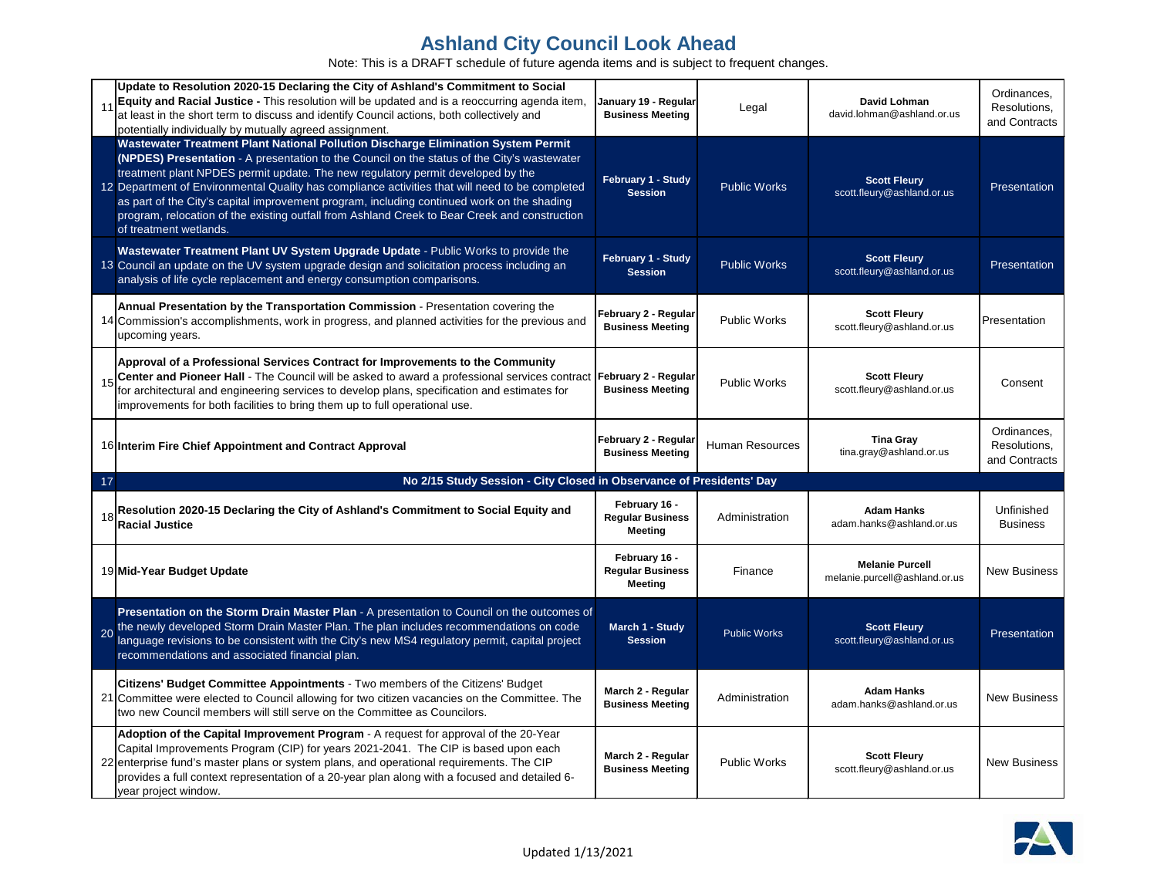| 11 | Update to Resolution 2020-15 Declaring the City of Ashland's Commitment to Social<br>Equity and Racial Justice - This resolution will be updated and is a reoccurring agenda item,<br>at least in the short term to discuss and identify Council actions, both collectively and<br>potentially individually by mutually agreed assignment.                                                                                                                                                                                                                                                      | January 19 - Regular<br><b>Business Meeting</b>     | Legal               | David Lohman<br>david.lohman@ashland.or.us              | Ordinances,<br>Resolutions,<br>and Contracts |  |  |
|----|-------------------------------------------------------------------------------------------------------------------------------------------------------------------------------------------------------------------------------------------------------------------------------------------------------------------------------------------------------------------------------------------------------------------------------------------------------------------------------------------------------------------------------------------------------------------------------------------------|-----------------------------------------------------|---------------------|---------------------------------------------------------|----------------------------------------------|--|--|
|    | Wastewater Treatment Plant National Pollution Discharge Elimination System Permit<br>(NPDES) Presentation - A presentation to the Council on the status of the City's wastewater<br>treatment plant NPDES permit update. The new regulatory permit developed by the<br>12 Department of Environmental Quality has compliance activities that will need to be completed<br>as part of the City's capital improvement program, including continued work on the shading<br>program, relocation of the existing outfall from Ashland Creek to Bear Creek and construction<br>of treatment wetlands. | February 1 - Study<br><b>Session</b>                | <b>Public Works</b> | <b>Scott Fleury</b><br>scott.fleury@ashland.or.us       | Presentation                                 |  |  |
|    | Wastewater Treatment Plant UV System Upgrade Update - Public Works to provide the<br>13 Council an update on the UV system upgrade design and solicitation process including an<br>analysis of life cycle replacement and energy consumption comparisons.                                                                                                                                                                                                                                                                                                                                       | February 1 - Study<br><b>Session</b>                | <b>Public Works</b> | <b>Scott Fleury</b><br>scott.fleury@ashland.or.us       | Presentation                                 |  |  |
|    | Annual Presentation by the Transportation Commission - Presentation covering the<br>14 Commission's accomplishments, work in progress, and planned activities for the previous and<br>upcoming years.                                                                                                                                                                                                                                                                                                                                                                                           | February 2 - Regular<br><b>Business Meeting</b>     | Public Works        | <b>Scott Fleury</b><br>scott.fleury@ashland.or.us       | Presentation                                 |  |  |
| 15 | Approval of a Professional Services Contract for Improvements to the Community<br>Center and Pioneer Hall - The Council will be asked to award a professional services contract<br>for architectural and engineering services to develop plans, specification and estimates for<br>improvements for both facilities to bring them up to full operational use.                                                                                                                                                                                                                                   | February 2 - Regular<br><b>Business Meeting</b>     | Public Works        | <b>Scott Fleury</b><br>scott.fleury@ashland.or.us       | Consent                                      |  |  |
|    | 16 Interim Fire Chief Appointment and Contract Approval                                                                                                                                                                                                                                                                                                                                                                                                                                                                                                                                         | February 2 - Regular<br><b>Business Meeting</b>     | Human Resources     | <b>Tina Gray</b><br>tina.gray@ashland.or.us             | Ordinances,<br>Resolutions,<br>and Contracts |  |  |
|    | No 2/15 Study Session - City Closed in Observance of Presidents' Day<br>17                                                                                                                                                                                                                                                                                                                                                                                                                                                                                                                      |                                                     |                     |                                                         |                                              |  |  |
| 18 |                                                                                                                                                                                                                                                                                                                                                                                                                                                                                                                                                                                                 |                                                     |                     |                                                         |                                              |  |  |
|    | Resolution 2020-15 Declaring the City of Ashland's Commitment to Social Equity and<br><b>Racial Justice</b>                                                                                                                                                                                                                                                                                                                                                                                                                                                                                     | February 16 -<br><b>Regular Business</b><br>Meeting | Administration      | <b>Adam Hanks</b><br>adam.hanks@ashland.or.us           | Unfinished<br><b>Business</b>                |  |  |
|    | 19 Mid-Year Budget Update                                                                                                                                                                                                                                                                                                                                                                                                                                                                                                                                                                       | February 16 -<br><b>Regular Business</b><br>Meeting | Finance             | <b>Melanie Purcell</b><br>melanie.purcell@ashland.or.us | <b>New Business</b>                          |  |  |
|    | Presentation on the Storm Drain Master Plan - A presentation to Council on the outcomes of<br>the newly developed Storm Drain Master Plan. The plan includes recommendations on code<br>language revisions to be consistent with the City's new MS4 regulatory permit, capital project<br>recommendations and associated financial plan.                                                                                                                                                                                                                                                        | March 1 - Study<br><b>Session</b>                   | <b>Public Works</b> | <b>Scott Fleury</b><br>scott.fleury@ashland.or.us       | Presentation                                 |  |  |
|    | Citizens' Budget Committee Appointments - Two members of the Citizens' Budget<br>21 Committee were elected to Council allowing for two citizen vacancies on the Committee. The<br>two new Council members will still serve on the Committee as Councilors.                                                                                                                                                                                                                                                                                                                                      | March 2 - Regular<br><b>Business Meeting</b>        | Administration      | <b>Adam Hanks</b><br>adam.hanks@ashland.or.us           | <b>New Business</b>                          |  |  |

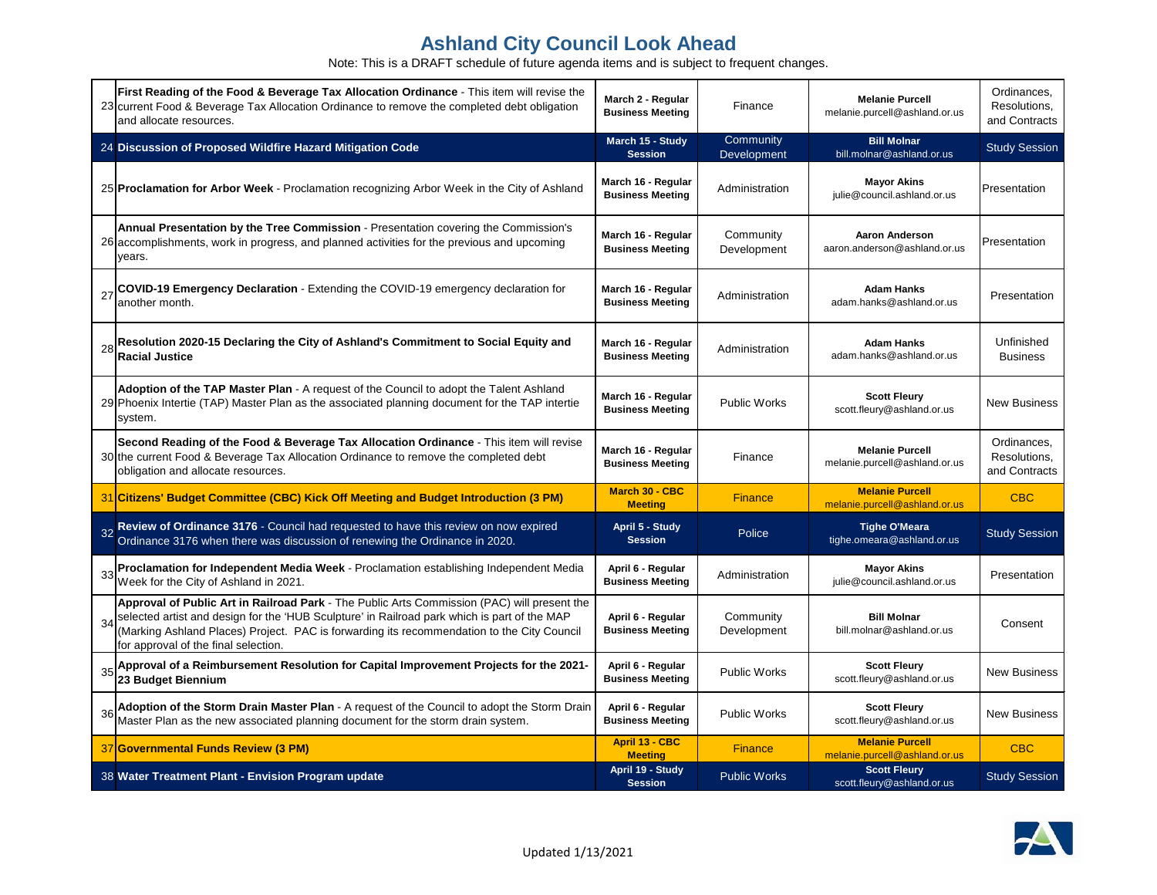|    | First Reading of the Food & Beverage Tax Allocation Ordinance - This item will revise the<br>23 current Food & Beverage Tax Allocation Ordinance to remove the completed debt obligation<br>and allocate resources.                                                                                                                  | March 2 - Regular<br><b>Business Meeting</b>  | Finance                  | <b>Melanie Purcell</b><br>melanie.purcell@ashland.or.us | Ordinances,<br>Resolutions,<br>and Contracts |
|----|--------------------------------------------------------------------------------------------------------------------------------------------------------------------------------------------------------------------------------------------------------------------------------------------------------------------------------------|-----------------------------------------------|--------------------------|---------------------------------------------------------|----------------------------------------------|
|    | 24 Discussion of Proposed Wildfire Hazard Mitigation Code                                                                                                                                                                                                                                                                            | March 15 - Study<br><b>Session</b>            | Community<br>Development | <b>Bill Molnar</b><br>bill.molnar@ashland.or.us         | <b>Study Session</b>                         |
|    | 25 Proclamation for Arbor Week - Proclamation recognizing Arbor Week in the City of Ashland                                                                                                                                                                                                                                          | March 16 - Regular<br><b>Business Meeting</b> | Administration           | <b>Mayor Akins</b><br>julie@council.ashland.or.us       | Presentation                                 |
|    | Annual Presentation by the Tree Commission - Presentation covering the Commission's<br>26 accomplishments, work in progress, and planned activities for the previous and upcoming<br>years.                                                                                                                                          | March 16 - Regular<br><b>Business Meeting</b> | Community<br>Development | <b>Aaron Anderson</b><br>aaron.anderson@ashland.or.us   | Presentation                                 |
|    | COVID-19 Emergency Declaration - Extending the COVID-19 emergency declaration for<br>another month.                                                                                                                                                                                                                                  | March 16 - Regular<br><b>Business Meeting</b> | Administration           | <b>Adam Hanks</b><br>adam.hanks@ashland.or.us           | Presentation                                 |
|    | Resolution 2020-15 Declaring the City of Ashland's Commitment to Social Equity and<br><b>Racial Justice</b>                                                                                                                                                                                                                          | March 16 - Regular<br><b>Business Meeting</b> | Administration           | <b>Adam Hanks</b><br>adam.hanks@ashland.or.us           | Unfinished<br><b>Business</b>                |
|    | Adoption of the TAP Master Plan - A request of the Council to adopt the Talent Ashland<br>29 Phoenix Intertie (TAP) Master Plan as the associated planning document for the TAP intertie<br>system.                                                                                                                                  | March 16 - Regular<br><b>Business Meeting</b> | <b>Public Works</b>      | <b>Scott Fleury</b><br>scott.fleury@ashland.or.us       | <b>New Business</b>                          |
|    | Second Reading of the Food & Beverage Tax Allocation Ordinance - This item will revise<br>30 the current Food & Beverage Tax Allocation Ordinance to remove the completed debt<br>obligation and allocate resources.                                                                                                                 | March 16 - Regular<br><b>Business Meeting</b> | Finance                  | <b>Melanie Purcell</b><br>melanie.purcell@ashland.or.us | Ordinances,<br>Resolutions,<br>and Contracts |
|    | 31 Citizens' Budget Committee (CBC) Kick Off Meeting and Budget Introduction (3 PM)                                                                                                                                                                                                                                                  | March 30 - CBC<br><b>Meeting</b>              | <b>Finance</b>           | <b>Melanie Purcell</b><br>melanie.purcell@ashland.or.us | <b>CBC</b>                                   |
| 32 | Review of Ordinance 3176 - Council had requested to have this review on now expired Ordinance 3176 when there was discussion of renewing the Ordinance in 2020.                                                                                                                                                                      | April 5 - Study<br><b>Session</b>             | Police                   | <b>Tighe O'Meara</b><br>tighe.omeara@ashland.or.us      | <b>Study Session</b>                         |
|    | Proclamation for Independent Media Week - Proclamation establishing Independent Media<br>Week for the City of Ashland in 2021.                                                                                                                                                                                                       | April 6 - Regular<br><b>Business Meeting</b>  | Administration           | <b>Mayor Akins</b><br>julie@council.ashland.or.us       | Presentation                                 |
|    | Approval of Public Art in Railroad Park - The Public Arts Commission (PAC) will present the<br>34 selected artist and design for the 'HUB Sculpture' in Railroad park which is part of the MAP<br>(Marking Ashland Places) Project. PAC is forwarding its recommendation to the City Council<br>for approval of the final selection. | April 6 - Regular<br><b>Business Meeting</b>  | Community<br>Development | <b>Bill Molnar</b><br>bill.molnar@ashland.or.us         | Consent                                      |
| 35 | Approval of a Reimbursement Resolution for Capital Improvement Projects for the 2021-<br>23 Budget Biennium                                                                                                                                                                                                                          | April 6 - Regular<br><b>Business Meeting</b>  | <b>Public Works</b>      | <b>Scott Fleury</b><br>scott.fleury@ashland.or.us       | <b>New Business</b>                          |
| 36 | Adoption of the Storm Drain Master Plan - A request of the Council to adopt the Storm Drain<br>Master Plan as the new associated planning document for the storm drain system.                                                                                                                                                       | April 6 - Regular<br><b>Business Meeting</b>  | <b>Public Works</b>      | <b>Scott Fleury</b><br>scott.fleury@ashland.or.us       | <b>New Business</b>                          |
|    | 37 Governmental Funds Review (3 PM)                                                                                                                                                                                                                                                                                                  | April 13 - CBC<br><b>Meeting</b>              | <b>Finance</b>           | <b>Melanie Purcell</b><br>melanie.purcell@ashland.or.us | <b>CBC</b>                                   |
|    | 38 Water Treatment Plant - Envision Program update                                                                                                                                                                                                                                                                                   | April 19 - Study<br><b>Session</b>            | <b>Public Works</b>      | <b>Scott Fleury</b><br>scott.fleury@ashland.or.us       | <b>Study Session</b>                         |

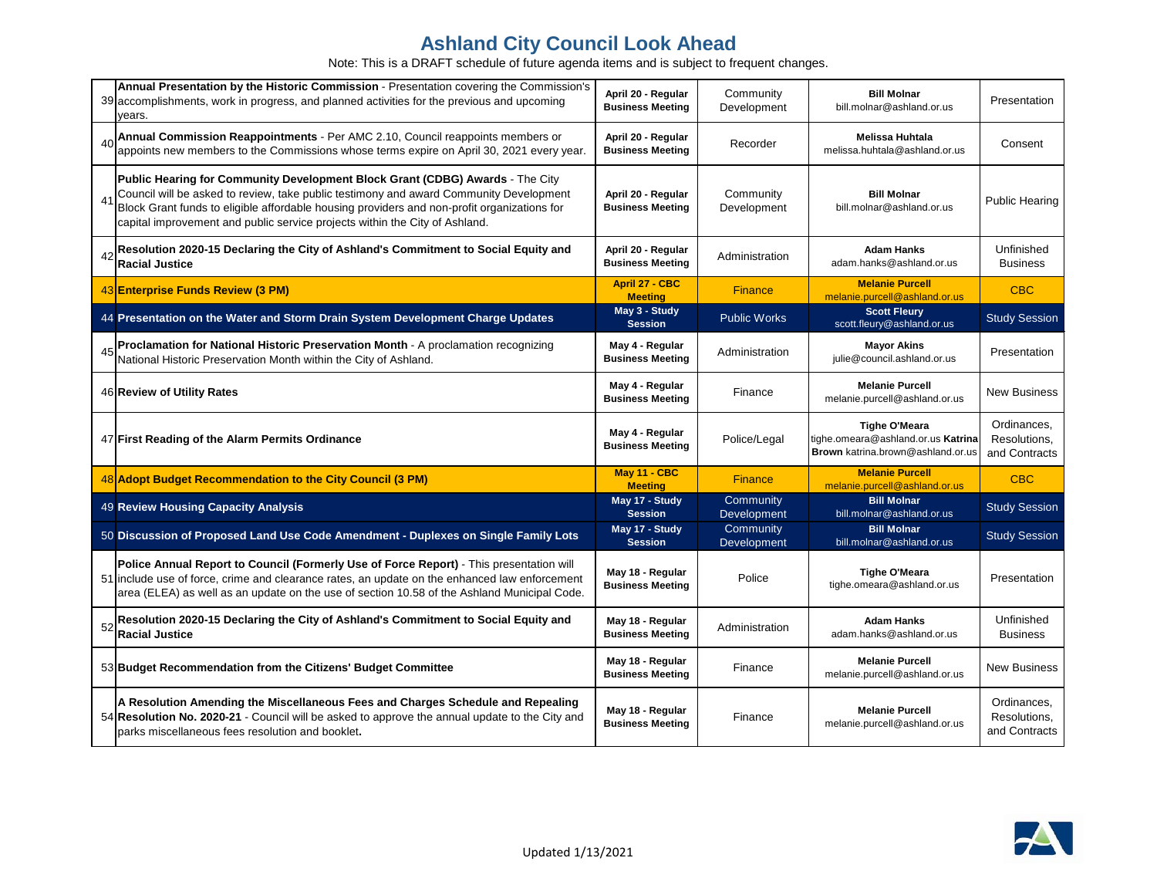|    | Annual Presentation by the Historic Commission - Presentation covering the Commission's<br>39 accomplishments, work in progress, and planned activities for the previous and upcoming<br>∕ears.                                                                                                                                                       | April 20 - Regular<br><b>Business Meeting</b> | Community<br>Development | <b>Bill Molnar</b><br>bill.molnar@ashland.or.us                                                 | Presentation                                 |
|----|-------------------------------------------------------------------------------------------------------------------------------------------------------------------------------------------------------------------------------------------------------------------------------------------------------------------------------------------------------|-----------------------------------------------|--------------------------|-------------------------------------------------------------------------------------------------|----------------------------------------------|
|    | Annual Commission Reappointments - Per AMC 2.10, Council reappoints members or<br>appoints new members to the Commissions whose terms expire on April 30, 2021 every year.                                                                                                                                                                            | April 20 - Regular<br><b>Business Meeting</b> | Recorder                 | <b>Melissa Huhtala</b><br>melissa.huhtala@ashland.or.us                                         | Consent                                      |
|    | Public Hearing for Community Development Block Grant (CDBG) Awards - The City<br>Council will be asked to review, take public testimony and award Community Development<br>Block Grant funds to eligible affordable housing providers and non-profit organizations for<br>capital improvement and public service projects within the City of Ashland. | April 20 - Regular<br><b>Business Meeting</b> | Community<br>Development | <b>Bill Molnar</b><br>bill.molnar@ashland.or.us                                                 | <b>Public Hearing</b>                        |
|    | Resolution 2020-15 Declaring the City of Ashland's Commitment to Social Equity and<br><b>Racial Justice</b>                                                                                                                                                                                                                                           | April 20 - Regular<br><b>Business Meeting</b> | Administration           | <b>Adam Hanks</b><br>adam.hanks@ashland.or.us                                                   | Unfinished<br><b>Business</b>                |
|    | 43 Enterprise Funds Review (3 PM)                                                                                                                                                                                                                                                                                                                     | <b>April 27 - CBC</b><br><b>Meeting</b>       | <b>Finance</b>           | <b>Melanie Purcell</b><br>melanie.purcell@ashland.or.us                                         | <b>CBC</b>                                   |
|    | 44 Presentation on the Water and Storm Drain System Development Charge Updates                                                                                                                                                                                                                                                                        | May 3 - Study<br><b>Session</b>               | <b>Public Works</b>      | <b>Scott Fleury</b><br>scott.fleury@ashland.or.us                                               | <b>Study Session</b>                         |
|    | Proclamation for National Historic Preservation Month - A proclamation recognizing<br>National Historic Preservation Month within the City of Ashland.                                                                                                                                                                                                | May 4 - Regular<br><b>Business Meeting</b>    | Administration           | <b>Mayor Akins</b><br>julie@council.ashland.or.us                                               | Presentation                                 |
|    | 46 Review of Utility Rates                                                                                                                                                                                                                                                                                                                            | May 4 - Regular<br><b>Business Meeting</b>    | Finance                  | <b>Melanie Purcell</b><br>melanie.purcell@ashland.or.us                                         | <b>New Business</b>                          |
|    | 47 First Reading of the Alarm Permits Ordinance                                                                                                                                                                                                                                                                                                       | May 4 - Regular<br><b>Business Meeting</b>    | Police/Legal             | <b>Tighe O'Meara</b><br>tighe.omeara@ashland.or.us Katrina<br>Brown katrina.brown@ashland.or.us | Ordinances,<br>Resolutions,<br>and Contracts |
|    | 48 Adopt Budget Recommendation to the City Council (3 PM)                                                                                                                                                                                                                                                                                             | May 11 - CBC<br><b>Meeting</b>                | <b>Finance</b>           | <b>Melanie Purcell</b><br>melanie.purcell@ashland.or.us                                         | <b>CBC</b>                                   |
|    | 49 Review Housing Capacity Analysis                                                                                                                                                                                                                                                                                                                   | May 17 - Study<br><b>Session</b>              | Community<br>Development | <b>Bill Molnar</b><br>bill.molnar@ashland.or.us                                                 | <b>Study Session</b>                         |
|    | 50 Discussion of Proposed Land Use Code Amendment - Duplexes on Single Family Lots                                                                                                                                                                                                                                                                    | May 17 - Study<br><b>Session</b>              | Community<br>Development | <b>Bill Molnar</b><br>bill.molnar@ashland.or.us                                                 | <b>Study Session</b>                         |
|    | Police Annual Report to Council (Formerly Use of Force Report) - This presentation will<br>51 include use of force, crime and clearance rates, an update on the enhanced law enforcement<br>area (ELEA) as well as an update on the use of section 10.58 of the Ashland Municipal Code.                                                               | May 18 - Regular<br><b>Business Meeting</b>   | Police                   | <b>Tighe O'Meara</b><br>tighe.omeara@ashland.or.us                                              | Presentation                                 |
| 52 | Resolution 2020-15 Declaring the City of Ashland's Commitment to Social Equity and<br><b>Racial Justice</b>                                                                                                                                                                                                                                           | May 18 - Regular<br><b>Business Meeting</b>   | Administration           | <b>Adam Hanks</b><br>adam.hanks@ashland.or.us                                                   | Unfinished<br><b>Business</b>                |
|    | 53 Budget Recommendation from the Citizens' Budget Committee                                                                                                                                                                                                                                                                                          | May 18 - Regular<br><b>Business Meeting</b>   | Finance                  | <b>Melanie Purcell</b><br>melanie.purcell@ashland.or.us                                         | <b>New Business</b>                          |
|    | A Resolution Amending the Miscellaneous Fees and Charges Schedule and Repealing<br>54 Resolution No. 2020-21 - Council will be asked to approve the annual update to the City and<br>parks miscellaneous fees resolution and booklet.                                                                                                                 | May 18 - Regular<br><b>Business Meeting</b>   | Finance                  | <b>Melanie Purcell</b><br>melanie.purcell@ashland.or.us                                         | Ordinances,<br>Resolutions,<br>and Contracts |